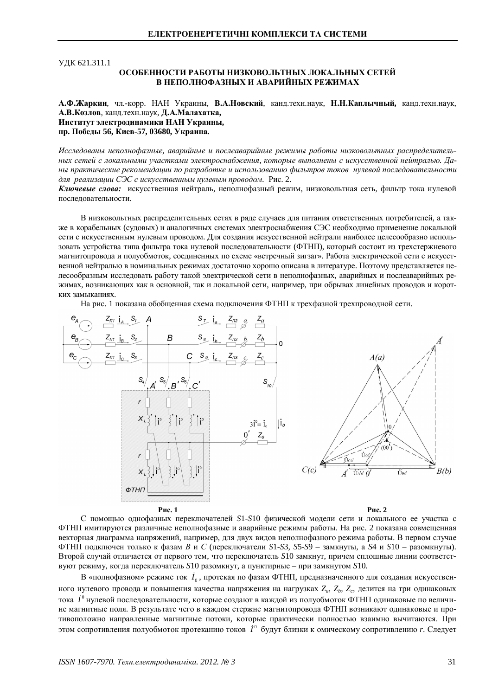ɍȾɄ 621.311.1

## **ОСОБЕННОСТИ РАБОТЫ НИЗКОВОЛЬТНЫХ ЛОКАЛЬНЫХ СЕТЕЙ** В НЕПОЛНОФАЗНЫХ И АВАРИЙНЫХ РЕЖИМАХ

А.Ф.Жаркин, чл.-корр. НАН Украины, В.А.Новский, канд.техн.наук, Н.Н.Каплычный, канд.техн.наук, А.В.Козлов, канд.техн.наук, Д.А.Малахатка, Институт электродинамики НАН Украины, пр. Победы 56, Киев-57, 03680, Украина.

Исследованы неполнофазные, аварийные и послеаварийные режимы работы низковольтных распределитель*ɧɵɯɫɟɬɟɣɫɥɨɤɚɥɶɧɵɦɢɭɱɚɫɬɤɚɦɢɷɥɟɤɬɪɨɫɧɚɛɠɟɧɢɹ, ɤɨɬɨɪɵɟɜɵɩɨɥɧɟɧɵɫɢɫɤɭɫɫɬɜɟɧɧɨɣɧɟɣɬɪɚɥɶɸ. Ⱦɚɧɵɩɪɚɤɬɢɱɟɫɤɢɟɪɟɤɨɦɟɧɞɚɰɢɢɩɨɪɚɡɪɚɛɨɬɤɟɢɢɫɩɨɥɶɡɨɜɚɧɢɸɮɢɥɶɬɪɨɜɬɨɤɨɜ ɧɭɥɟɜɨɣɩɨɫɥɟɞɨɜɚɬɟɥɶɧɨɫɬɢ*  $\partial$ ля реализации СЭС с искусственным нулевым проводом. Рис. 2.

Ключевые слова: искусственная нейтраль, неполнофазный режим, низковольтная сеть, фильтр тока нулевой последовательности.

В низковольтных распределительных сетях в ряде случаев для питания ответственных потребителей, а также в корабельных (судовых) и аналогичных системах электроснабжения СЭС необходимо применение локальной сети с искусственным нулевым проводом. Для создания искусственной нейтрали наиболее целесообразно использовать устройства типа фильтра тока нулевой последовательности (ФТНП), который состоит из трехстержневого магнитопровода и полуобмоток, соединенных по схеме «встречный зигзаг». Работа электрической сети с искусственной нейтралью в номинальных режимах достаточно хорошо описана в литературе. Поэтому представляется целесообразным исследовать работу такой электрической сети в неполнофазных, аварийных и послеаварийных режимах, возникающих как в основной, так и локальной сети, например, при обрывах линейных проводов и коротких замыканиях.

На рис. 1 показана обобщенная схема подключения ФТНП к трехфазной трехпроводной сети.



С помощью однофазных переключателей S1-S10 физической модели сети и локального ее участка с ФТНП имитируются различные неполнофазные и аварийные режимы работы. На рис. 2 показана совмещенная векторная диаграмма напряжений, например, для двух видов неполнофазного режима работы. В первом случае  $\Phi$ ТНП подключен только к фазам *B* и *C* (переключатели S1-S3, S5-S9 – замкнуты, а S4 и S10 – разомкнуты). Второй случай отличается от первого тем, что переключатель S10 замкнут, причем сплошные линии соответстɜɭɸɬɪɟɠɢɦɭ, ɤɨɝɞɚɩɟɪɟɤɥɸɱɚɬɟɥɶ *S*10 ɪɚɡɨɦɤɧɭɬ, ɚɩɭɧɤɬɢɪɧɵɟ – ɩɪɢɡɚɦɤɧɭɬɨɦ *S*10.

В «полнофазном» режиме ток  $\,I_{\rm 0}^{\,}$ , протекая по фазам ФТНП, предназначенного для создания искусственного нулевого провода и повышения качества напряжения на нагрузках Z<sub>a</sub>, Z<sub>b</sub>, Z<sub>c</sub>, делится на три одинаковых тока *İ* º нулевой последовательности, которые создают в каждой из полуобмоток ФТНП одинаковые по величине магнитные поля. В результате чего в каждом стержне магнитопровода ФТНП возникают одинаковые и противоположно направленные магнитные потоки, которые практически полностью взаимно вычитаются. При этом сопротивления полуобмоток протеканию токов  $i^{\circ}$  будут близки к омическому сопротивлению r. Следует